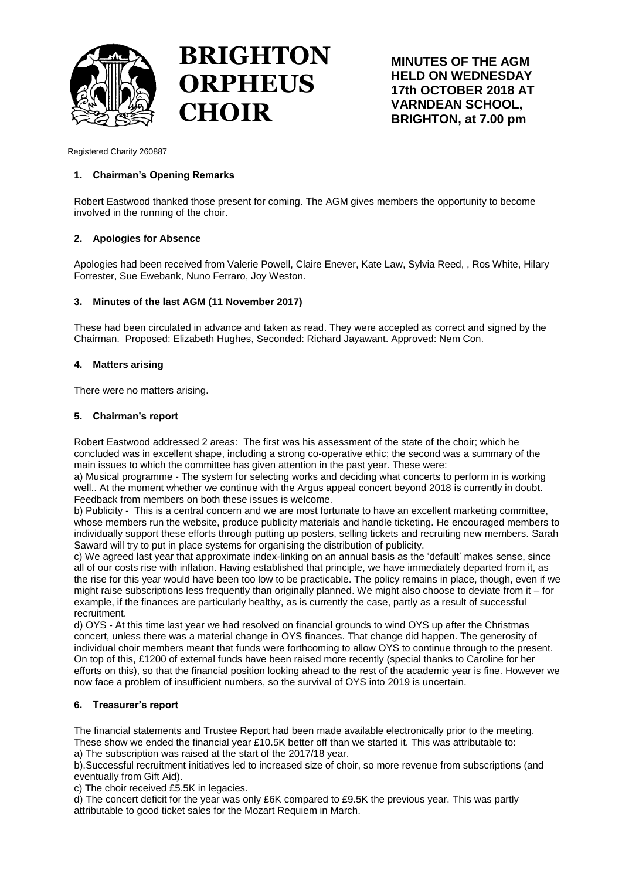

# **BRIGHTON ORPHEUS CHOIR**

**MINUTES OF THE AGM HELD ON WEDNESDAY 17th OCTOBER 2018 AT VARNDEAN SCHOOL, BRIGHTON, at 7.00 pm**

Registered Charity 260887

# **1. Chairman's Opening Remarks**

Robert Eastwood thanked those present for coming. The AGM gives members the opportunity to become involved in the running of the choir.

# **2. Apologies for Absence**

Apologies had been received from Valerie Powell, Claire Enever, Kate Law, Sylvia Reed, , Ros White, Hilary Forrester, Sue Ewebank, Nuno Ferraro, Joy Weston.

# **3. Minutes of the last AGM (11 November 2017)**

These had been circulated in advance and taken as read. They were accepted as correct and signed by the Chairman. Proposed: Elizabeth Hughes, Seconded: Richard Jayawant. Approved: Nem Con.

# **4. Matters arising**

There were no matters arising.

## **5. Chairman's report**

Robert Eastwood addressed 2 areas: The first was his assessment of the state of the choir; which he concluded was in excellent shape, including a strong co-operative ethic; the second was a summary of the main issues to which the committee has given attention in the past year. These were:

a) Musical programme - The system for selecting works and deciding what concerts to perform in is working well.. At the moment whether we continue with the Argus appeal concert beyond 2018 is currently in doubt. Feedback from members on both these issues is welcome.

b) Publicity - This is a central concern and we are most fortunate to have an excellent marketing committee, whose members run the website, produce publicity materials and handle ticketing. He encouraged members to individually support these efforts through putting up posters, selling tickets and recruiting new members. Sarah Saward will try to put in place systems for organising the distribution of publicity.

c) We agreed last year that approximate index-linking on an annual basis as the 'default' makes sense, since all of our costs rise with inflation. Having established that principle, we have immediately departed from it, as the rise for this year would have been too low to be practicable. The policy remains in place, though, even if we might raise subscriptions less frequently than originally planned. We might also choose to deviate from it – for example, if the finances are particularly healthy, as is currently the case, partly as a result of successful recruitment.

d) OYS - At this time last year we had resolved on financial grounds to wind OYS up after the Christmas concert, unless there was a material change in OYS finances. That change did happen. The generosity of individual choir members meant that funds were forthcoming to allow OYS to continue through to the present. On top of this, £1200 of external funds have been raised more recently (special thanks to Caroline for her efforts on this), so that the financial position looking ahead to the rest of the academic year is fine. However we now face a problem of insufficient numbers, so the survival of OYS into 2019 is uncertain.

## **6. Treasurer's report**

The financial statements and Trustee Report had been made available electronically prior to the meeting. These show we ended the financial year £10.5K better off than we started it. This was attributable to:

a) The subscription was raised at the start of the 2017/18 year.

b).Successful recruitment initiatives led to increased size of choir, so more revenue from subscriptions (and eventually from Gift Aid).

c) The choir received £5.5K in legacies.

d) The concert deficit for the year was only £6K compared to £9.5K the previous year. This was partly attributable to good ticket sales for the Mozart Requiem in March.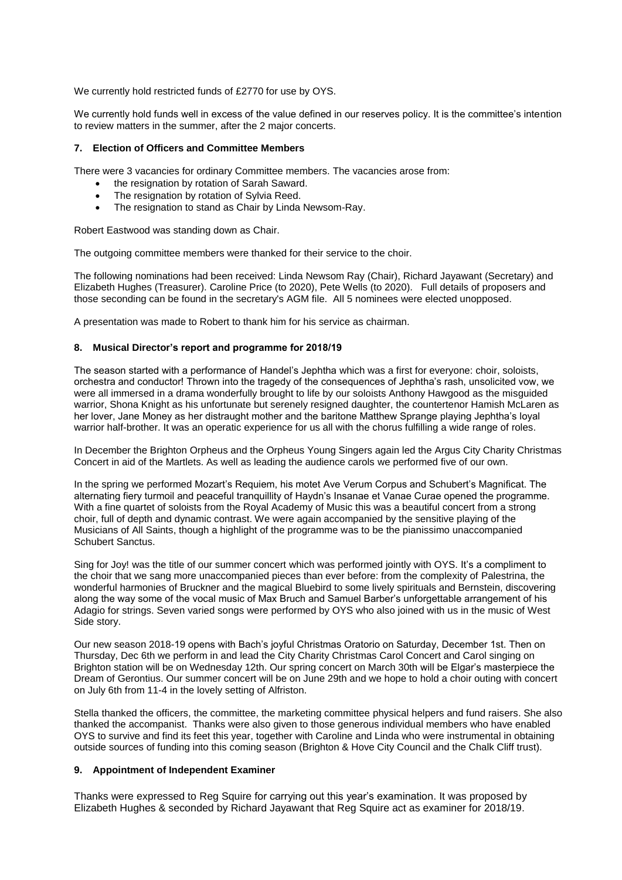We currently hold restricted funds of £2770 for use by OYS.

We currently hold funds well in excess of the value defined in our reserves policy. It is the committee's intention to review matters in the summer, after the 2 major concerts.

## **7. Election of Officers and Committee Members**

There were 3 vacancies for ordinary Committee members. The vacancies arose from:

- the resignation by rotation of Sarah Saward.
- The resignation by rotation of Sylvia Reed.
- The resignation to stand as Chair by Linda Newsom-Ray.

Robert Eastwood was standing down as Chair.

The outgoing committee members were thanked for their service to the choir.

The following nominations had been received: Linda Newsom Ray (Chair), Richard Jayawant (Secretary) and Elizabeth Hughes (Treasurer). Caroline Price (to 2020), Pete Wells (to 2020). Full details of proposers and those seconding can be found in the secretary's AGM file. All 5 nominees were elected unopposed.

A presentation was made to Robert to thank him for his service as chairman.

#### **8. Musical Director's report and programme for 2018/19**

The season started with a performance of Handel's Jephtha which was a first for everyone: choir, soloists, orchestra and conductor! Thrown into the tragedy of the consequences of Jephtha's rash, unsolicited vow, we were all immersed in a drama wonderfully brought to life by our soloists Anthony Hawgood as the misguided warrior, Shona Knight as his unfortunate but serenely resigned daughter, the countertenor Hamish McLaren as her lover, Jane Money as her distraught mother and the baritone Matthew Sprange playing Jephtha's loyal warrior half-brother. It was an operatic experience for us all with the chorus fulfilling a wide range of roles.

In December the Brighton Orpheus and the Orpheus Young Singers again led the Argus City Charity Christmas Concert in aid of the Martlets. As well as leading the audience carols we performed five of our own.

In the spring we performed Mozart's Requiem, his motet Ave Verum Corpus and Schubert's Magnificat. The alternating fiery turmoil and peaceful tranquillity of Haydn's Insanae et Vanae Curae opened the programme. With a fine quartet of soloists from the Royal Academy of Music this was a beautiful concert from a strong choir, full of depth and dynamic contrast. We were again accompanied by the sensitive playing of the Musicians of All Saints, though a highlight of the programme was to be the pianissimo unaccompanied Schubert Sanctus.

Sing for Joy! was the title of our summer concert which was performed jointly with OYS. It's a compliment to the choir that we sang more unaccompanied pieces than ever before: from the complexity of Palestrina, the wonderful harmonies of Bruckner and the magical Bluebird to some lively spirituals and Bernstein, discovering along the way some of the vocal music of Max Bruch and Samuel Barber's unforgettable arrangement of his Adagio for strings. Seven varied songs were performed by OYS who also joined with us in the music of West Side story.

Our new season 2018-19 opens with Bach's joyful Christmas Oratorio on Saturday, December 1st. Then on Thursday, Dec 6th we perform in and lead the City Charity Christmas Carol Concert and Carol singing on Brighton station will be on Wednesday 12th. Our spring concert on March 30th will be Elgar's masterpiece the Dream of Gerontius. Our summer concert will be on June 29th and we hope to hold a choir outing with concert on July 6th from 11-4 in the lovely setting of Alfriston.

Stella thanked the officers, the committee, the marketing committee physical helpers and fund raisers. She also thanked the accompanist. Thanks were also given to those generous individual members who have enabled OYS to survive and find its feet this year, together with Caroline and Linda who were instrumental in obtaining outside sources of funding into this coming season (Brighton & Hove City Council and the Chalk Cliff trust).

#### **9. Appointment of Independent Examiner**

Thanks were expressed to Reg Squire for carrying out this year's examination. It was proposed by Elizabeth Hughes & seconded by Richard Jayawant that Reg Squire act as examiner for 2018/19.